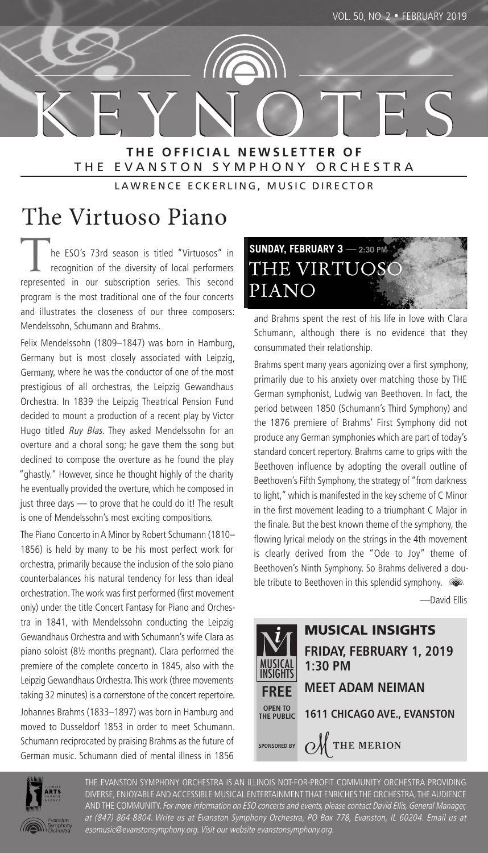KEYNOTES **THE OFFICIAL NEWSLETTER OF** THE EVANSTON SYMPHONY ORCHESTRA

LAWRENCE ECKERLING, MUSIC DIRECTOR

# The Virtuoso Piano

he ESO's 73rd season is titled "Virtuosos" in recognition of the diversity of local performers represented in our subscription series. This second program is the most traditional one of the four concerts and illustrates the closeness of our three composers: Mendelssohn, Schumann and Brahms.

Felix Mendelssohn (1809–1847) was born in Hamburg, Germany but is most closely associated with Leipzig, Germany, where he was the conductor of one of the most prestigious of all orchestras, the Leipzig Gewandhaus Orchestra. In 1839 the Leipzig Theatrical Pension Fund decided to mount a production of a recent play by Victor Hugo titled Ruy Blas. They asked Mendelssohn for an overture and a choral song; he gave them the song but declined to compose the overture as he found the play "ghastly." However, since he thought highly of the charity he eventually provided the overture, which he composed in just three days — to prove that he could do it! The result is one of Mendelssohn's most exciting compositions.

The Piano Concerto in A Minor by Robert Schumann (1810– 1856) is held by many to be his most perfect work for orchestra, primarily because the inclusion of the solo piano counterbalances his natural tendency for less than ideal orchestration. The work was first performed (first movement only) under the title Concert Fantasy for Piano and Orchestra in 1841, with Mendelssohn conducting the Leipzig Gewandhaus Orchestra and with Schumann's wife Clara as piano soloist (8½ months pregnant). Clara performed the premiere of the complete concerto in 1845, also with the Leipzig Gewandhaus Orchestra. This work (three movements taking 32 minutes) is a cornerstone of the concert repertoire.

Johannes Brahms (1833–1897) was born in Hamburg and moved to Dusseldorf 1853 in order to meet Schumann. Schumann reciprocated by praising Brahms as the future of German music. Schumann died of mental illness in 1856



and Brahms spent the rest of his life in love with Clara Schumann, although there is no evidence that they consummated their relationship.

Brahms spent many years agonizing over a first symphony, primarily due to his anxiety over matching those by THE German symphonist, Ludwig van Beethoven. In fact, the period between 1850 (Schumann's Third Symphony) and the 1876 premiere of Brahms' First Symphony did not produce any German symphonies which are part of today's standard concert repertory. Brahms came to grips with the Beethoven influence by adopting the overall outline of Beethoven's Fifth Symphony, the strategy of "from darkness to light," which is manifested in the key scheme of C Minor in the first movement leading to a triumphant C Major in the finale. But the best known theme of the symphony, the flowing lyrical melody on the strings in the 4th movement is clearly derived from the "Ode to Joy" theme of Beethoven's Ninth Symphony. So Brahms delivered a double tribute to Beethoven in this splendid symphony.

—David Ellis





THE EVANSTON SYMPHONY ORCHESTRA IS AN ILLINOIS NOT-FOR-PROFIT COMMUNITY ORCHESTRA PROVIDING DIVERSE, ENJOYABLE AND ACCESSIBLE MUSICAL ENTERTAINMENT THAT ENRICHES THE ORCHESTRA, THE AUDIENCE AND THE COMMUNITY. For more information on ESO concerts and events, please contact David Ellis, General Manager, at (847) 864-8804. Write us at Evanston Symphony Orchestra, PO Box 778, Evanston, IL 60204. Email us at esomusic@evanstonsymphony.org. Visit our website evanstonsymphony.org.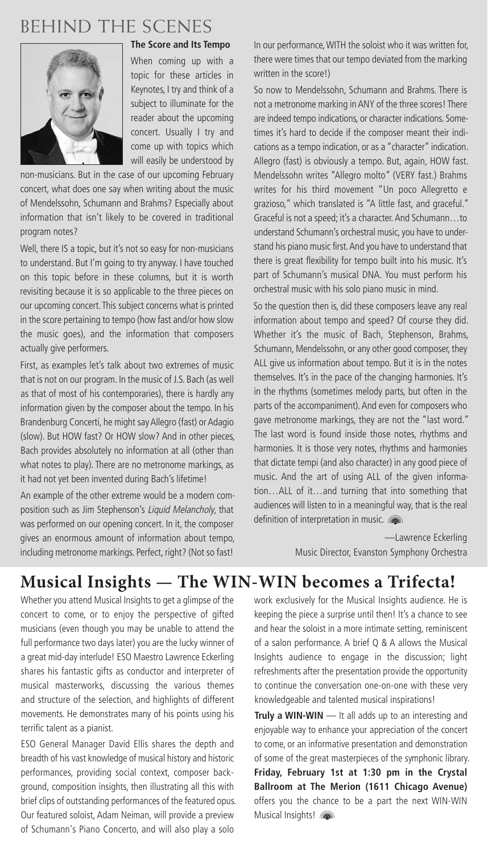### BEHIND THE SCENES



#### **The Score and Its Tempo**

When coming up with a topic for these articles in Keynotes, I try and think of a subject to illuminate for the reader about the upcoming concert. Usually I try and come up with topics which will easily be understood by

non-musicians. But in the case of our upcoming February concert, what does one say when writing about the music of Mendelssohn, Schumann and Brahms? Especially about information that isn't likely to be covered in traditional program notes?

Well, there IS a topic, but it's not so easy for non-musicians to understand. But I'm going to try anyway. I have touched on this topic before in these columns, but it is worth revisiting because it is so applicable to the three pieces on our upcoming concert. This subject concerns what is printed in the score pertaining to tempo (how fast and/or how slow the music goes), and the information that composers actually give performers.

First, as examples let's talk about two extremes of music that is not on our program. In the music of J.S. Bach (as well as that of most of his contemporaries), there is hardly any information given by the composer about the tempo. In his Brandenburg Concerti, he might say Allegro (fast) or Adagio (slow). But HOW fast? Or HOW slow? And in other pieces, Bach provides absolutely no information at all (other than what notes to play). There are no metronome markings, as it had not yet been invented during Bach's lifetime!

An example of the other extreme would be a modern composition such as Jim Stephenson's Liquid Melancholy, that was performed on our opening concert. In it, the composer gives an enormous amount of information about tempo, including metronome markings. Perfect, right? (Not so fast!

In our performance, WITH the soloist who it was written for, there were times that our tempo deviated from the marking written in the score!)

So now to Mendelssohn, Schumann and Brahms. There is not a metronome marking in ANY of the three scores! There are indeed tempo indications, or character indications. Sometimes it's hard to decide if the composer meant their indications as a tempo indication, or as a "character" indication. Allegro (fast) is obviously a tempo. But, again, HOW fast. Mendelssohn writes "Allegro molto" (VERY fast.) Brahms writes for his third movement "Un poco Allegretto e grazioso," which translated is "A little fast, and graceful." Graceful is not a speed; it's a character. And Schumann…to understand Schumann's orchestral music, you have to understand his piano music first. And you have to understand that there is great flexibility for tempo built into his music. It's part of Schumann's musical DNA. You must perform his orchestral music with his solo piano music in mind.

So the question then is, did these composers leave any real information about tempo and speed? Of course they did. Whether it's the music of Bach, Stephenson, Brahms, Schumann, Mendelssohn, or any other good composer, they ALL give us information about tempo. But it is in the notes themselves. It's in the pace of the changing harmonies. It's in the rhythms (sometimes melody parts, but often in the parts of the accompaniment). And even for composers who gave metronome markings, they are not the "last word." The last word is found inside those notes, rhythms and harmonies. It is those very notes, rhythms and harmonies that dictate tempi (and also character) in any good piece of music. And the art of using ALL of the given information…ALL of it…and turning that into something that audiences will listen to in a meaningful way, that is the real definition of interpretation in music.

> —Lawrence Eckerling Music Director, Evanston Symphony Orchestra

### **Musical Insights — The WIN-WIN becomes a Trifecta!**

Whether you attend Musical Insights to get a glimpse of the concert to come, or to enjoy the perspective of gifted musicians (even though you may be unable to attend the full performance two days later) you are the lucky winner of a great mid-day interlude! ESO Maestro Lawrence Eckerling shares his fantastic gifts as conductor and interpreter of musical masterworks, discussing the various themes and structure of the selection, and highlights of different movements. He demonstrates many of his points using his terrific talent as a pianist.

ESO General Manager David Ellis shares the depth and breadth of his vast knowledge of musical history and historic performances, providing social context, composer background, composition insights, then illustrating all this with brief clips of outstanding performances of the featured opus. Our featured soloist, Adam Neiman, will provide a preview of Schumann's Piano Concerto, and will also play a solo

work exclusively for the Musical Insights audience. He is keeping the piece a surprise until then! It's a chance to see and hear the soloist in a more intimate setting, reminiscent of a salon performance. A brief Q & A allows the Musical Insights audience to engage in the discussion; light refreshments after the presentation provide the opportunity to continue the conversation one-on-one with these very knowledgeable and talented musical inspirations!

**Truly a WIN-WIN** — It all adds up to an interesting and enjoyable way to enhance your appreciation of the concert to come, or an informative presentation and demonstration of some of the great masterpieces of the symphonic library.  **Friday, February 1st at 1:30 pm in the Crystal Ballroom at The Merion (1611 Chicago Avenue)** offers you the chance to be a part the next WIN-WIN Musical Insights!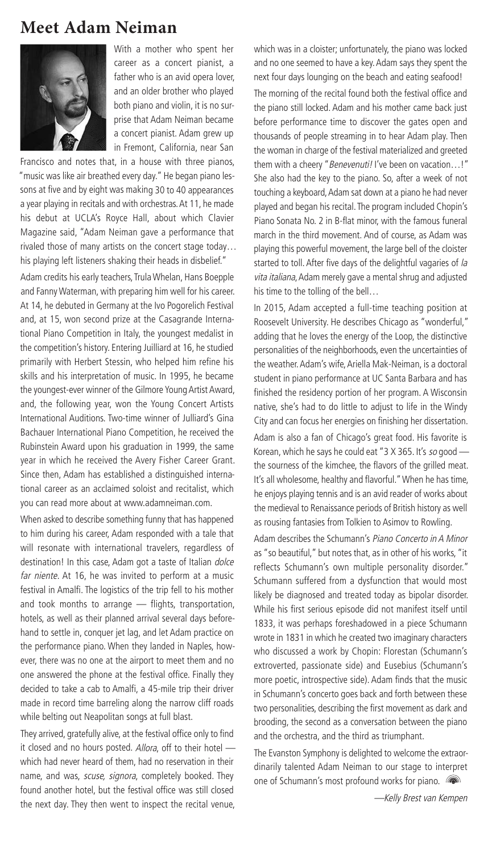#### **Meet Adam Neiman**



With a mother who spent her career as a concert pianist, a father who is an avid opera lover, and an older brother who played both piano and violin, it is no surprise that Adam Neiman became a concert pianist. Adam grew up in Fremont, California, near San

Francisco and notes that, in a house with three pianos, "music was like air breathed every day." He began piano lessons at five and by eight was making 30 to 40 appearances a year playing in recitals and with orchestras. At 11, he made his debut at UCLA's Royce Hall, about which Clavier Magazine said, "Adam Neiman gave a performance that rivaled those of many artists on the concert stage today… his playing left listeners shaking their heads in disbelief."

Adam credits his early teachers, Trula Whelan, Hans Boepple and Fanny Waterman, with preparing him well for his career. At 14, he debuted in Germany at the Ivo Pogorelich Festival and, at 15, won second prize at the Casagrande International Piano Competition in Italy, the youngest medalist in the competition's history. Entering Juilliard at 16, he studied primarily with Herbert Stessin, who helped him refine his skills and his interpretation of music. In 1995, he became the youngest-ever winner of the Gilmore Young Artist Award, and, the following year, won the Young Concert Artists International Auditions. Two-time winner of Julliard's Gina Bachauer International Piano Competition, he received the Rubinstein Award upon his graduation in 1999, the same year in which he received the Avery Fisher Career Grant. Since then, Adam has established a distinguished international career as an acclaimed soloist and recitalist, which you can read more about at www.adamneiman.com.

When asked to describe something funny that has happened to him during his career, Adam responded with a tale that will resonate with international travelers, regardless of destination! In this case, Adam got a taste of Italian dolce far niente. At 16, he was invited to perform at a music festival in Amalfi. The logistics of the trip fell to his mother and took months to arrange — flights, transportation, hotels, as well as their planned arrival several days beforehand to settle in, conquer jet lag, and let Adam practice on the performance piano. When they landed in Naples, however, there was no one at the airport to meet them and no one answered the phone at the festival office. Finally they decided to take a cab to Amalfi, a 45-mile trip their driver made in record time barreling along the narrow cliff roads while belting out Neapolitan songs at full blast.

They arrived, gratefully alive, at the festival office only to find it closed and no hours posted. Allora, off to their hotel which had never heard of them, had no reservation in their name, and was, scuse, signora, completely booked. They found another hotel, but the festival office was still closed the next day. They then went to inspect the recital venue, which was in a cloister; unfortunately, the piano was locked and no one seemed to have a key. Adam says they spent the next four days lounging on the beach and eating seafood! The morning of the recital found both the festival office and the piano still locked. Adam and his mother came back just before performance time to discover the gates open and thousands of people streaming in to hear Adam play. Then the woman in charge of the festival materialized and greeted them with a cheery "Benevenuti! I've been on vacation...!" She also had the key to the piano. So, after a week of not touching a keyboard, Adam sat down at a piano he had never played and began his recital. The program included Chopin's Piano Sonata No. 2 in B-flat minor, with the famous funeral march in the third movement. And of course, as Adam was playing this powerful movement, the large bell of the cloister started to toll. After five days of the delightful vagaries of la vita italiana, Adam merely gave a mental shrug and adjusted his time to the tolling of the bell…

In 2015, Adam accepted a full-time teaching position at Roosevelt University. He describes Chicago as "wonderful," adding that he loves the energy of the Loop, the distinctive personalities of the neighborhoods, even the uncertainties of the weather. Adam's wife, Ariella Mak-Neiman, is a doctoral student in piano performance at UC Santa Barbara and has finished the residency portion of her program. A Wisconsin native, she's had to do little to adjust to life in the Windy City and can focus her energies on finishing her dissertation.

Adam is also a fan of Chicago's great food. His favorite is Korean, which he says he could eat "3 X 365. It's so good the sourness of the kimchee, the flavors of the grilled meat. It's all wholesome, healthy and flavorful." When he has time, he enjoys playing tennis and is an avid reader of works about the medieval to Renaissance periods of British history as well as rousing fantasies from Tolkien to Asimov to Rowling.

Adam describes the Schumann's Piano Concerto in A Minor as "so beautiful," but notes that, as in other of his works, "it reflects Schumann's own multiple personality disorder." Schumann suffered from a dysfunction that would most likely be diagnosed and treated today as bipolar disorder. While his first serious episode did not manifest itself until 1833, it was perhaps foreshadowed in a piece Schumann wrote in 1831 in which he created two imaginary characters who discussed a work by Chopin: Florestan (Schumann's extroverted, passionate side) and Eusebius (Schumann's more poetic, introspective side). Adam finds that the music in Schumann's concerto goes back and forth between these two personalities, describing the first movement as dark and brooding, the second as a conversation between the piano and the orchestra, and the third as triumphant.

The Evanston Symphony is delighted to welcome the extraordinarily talented Adam Neiman to our stage to interpret one of Schumann's most profound works for piano.

—Kelly Brest van Kempen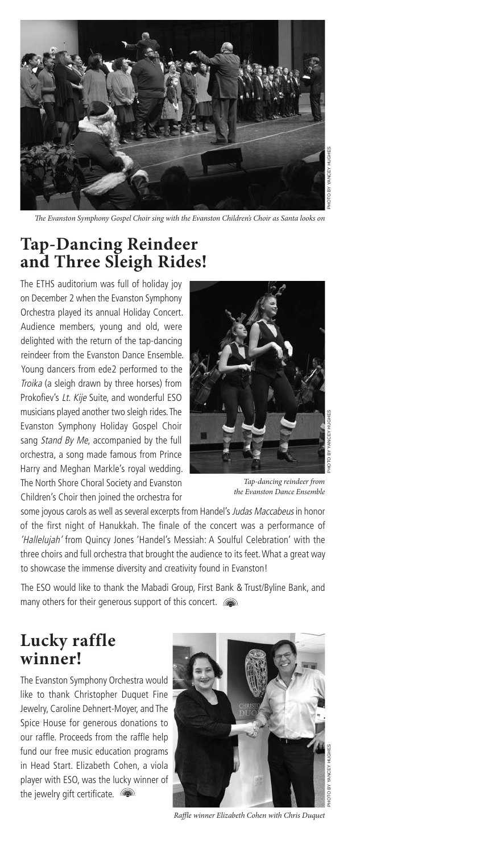

The Evanston Symphony Gospel Choir sing with the Evanston Children's Choir as Santa looks on

### **Tap-Dancing Reindeer and Three Sleigh Rides!**

The ETHS auditorium was full of holiday joy on December 2 when the Evanston Symphony Orchestra played its annual Holiday Concert. Audience members, young and old, were delighted with the return of the tap-dancing reindeer from the Evanston Dance Ensemble. Young dancers from ede2 performed to the Troika (a sleigh drawn by three horses) from Prokofiev's Lt. Kije Suite, and wonderful ESO musicians played another two sleigh rides. The Evanston Symphony Holiday Gospel Choir sang Stand By Me, accompanied by the full orchestra, a song made famous from Prince Harry and Meghan Markle's royal wedding. The North Shore Choral Society and Evanston Children's Choir then joined the orchestra for

Tap-dancing reindeer from the Evanston Dance Ensemble

some joyous carols as well as several excerpts from Handel's Judas Maccabeus in honor of the first night of Hanukkah. The finale of the concert was a performance of 'Hallelujah' from Quincy Jones 'Handel's Messiah: A Soulful Celebration' with the three choirs and full orchestra that brought the audience to its feet. What a great way to showcase the immense diversity and creativity found in Evanston!

The ESO would like to thank the Mabadi Group, First Bank & Trust/Byline Bank, and many others for their generous support of this concert. (solid

#### **Lucky raffle winner!**

The Evanston Symphony Orchestra would like to thank Christopher Duquet Fine Jewelry, Caroline Dehnert-Moyer, and The Spice House for generous donations to our raffle. Proceeds from the raffle help fund our free music education programs in Head Start. Elizabeth Cohen, a viola player with ESO, was the lucky winner of the jewelry gift certificate.



Raffle winner Elizabeth Cohen with Chris Duquet